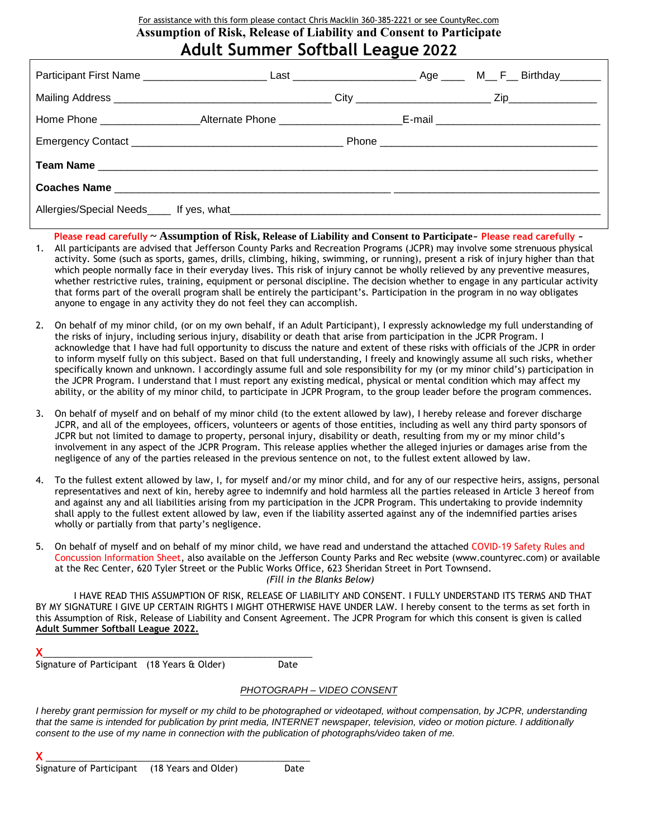### For assistance with this form please contact Chris Macklin 360-385-2221 or see CountyRec.com **Assumption of Risk, Release of Liability and Consent to Participate Adult Summer Softball League 2022**

| Allergies/Special Needs figures, what the contract of the contract of the contract of the contract of the contract of the contract of the contract of the contract of the contract of the contract of the contract of the cont |  |  |  |  |  |
|--------------------------------------------------------------------------------------------------------------------------------------------------------------------------------------------------------------------------------|--|--|--|--|--|

**Please read carefully ~ Assumption of Risk, Release of Liability and Consent to Participate~ Please read carefully ~**

- 1. All participants are advised that Jefferson County Parks and Recreation Programs (JCPR) may involve some strenuous physical activity. Some (such as sports, games, drills, climbing, hiking, swimming, or running), present a risk of injury higher than that which people normally face in their everyday lives. This risk of injury cannot be wholly relieved by any preventive measures, whether restrictive rules, training, equipment or personal discipline. The decision whether to engage in any particular activity that forms part of the overall program shall be entirely the participant's. Participation in the program in no way obligates anyone to engage in any activity they do not feel they can accomplish.
- 2. On behalf of my minor child, (or on my own behalf, if an Adult Participant), I expressly acknowledge my full understanding of the risks of injury, including serious injury, disability or death that arise from participation in the JCPR Program. I acknowledge that I have had full opportunity to discuss the nature and extent of these risks with officials of the JCPR in order to inform myself fully on this subject. Based on that full understanding, I freely and knowingly assume all such risks, whether specifically known and unknown. I accordingly assume full and sole responsibility for my (or my minor child's) participation in the JCPR Program. I understand that I must report any existing medical, physical or mental condition which may affect my ability, or the ability of my minor child, to participate in JCPR Program, to the group leader before the program commences.
- 3. On behalf of myself and on behalf of my minor child (to the extent allowed by law), I hereby release and forever discharge JCPR, and all of the employees, officers, volunteers or agents of those entities, including as well any third party sponsors of JCPR but not limited to damage to property, personal injury, disability or death, resulting from my or my minor child's involvement in any aspect of the JCPR Program. This release applies whether the alleged injuries or damages arise from the negligence of any of the parties released in the previous sentence on not, to the fullest extent allowed by law.
- 4. To the fullest extent allowed by law, I, for myself and/or my minor child, and for any of our respective heirs, assigns, personal representatives and next of kin, hereby agree to indemnify and hold harmless all the parties released in Article 3 hereof from and against any and all liabilities arising from my participation in the JCPR Program. This undertaking to provide indemnity shall apply to the fullest extent allowed by law, even if the liability asserted against any of the indemnified parties arises wholly or partially from that party's negligence.
- 5. On behalf of myself and on behalf of my minor child, we have read and understand the attached COVID-19 Safety Rules and Concussion Information Sheet, also available on the Jefferson County Parks and Rec website (www.countyrec.com) or available at the Rec Center, 620 Tyler Street or the Public Works Office, 623 Sheridan Street in Port Townsend. *(Fill in the Blanks Below)*

I HAVE READ THIS ASSUMPTION OF RISK, RELEASE OF LIABILITY AND CONSENT. I FULLY UNDERSTAND ITS TERMS AND THAT BY MY SIGNATURE I GIVE UP CERTAIN RIGHTS I MIGHT OTHERWISE HAVE UNDER LAW. I hereby consent to the terms as set forth in this Assumption of Risk, Release of Liability and Consent Agreement. The JCPR Program for which this consent is given is called **Adult Summer Softball League 2022.**

**X**\_\_\_\_\_\_\_\_\_\_\_\_\_\_\_\_\_\_\_\_\_\_\_\_\_\_\_\_\_\_\_\_\_\_\_\_\_\_\_\_\_\_\_\_\_\_\_\_\_\_\_\_\_\_

Signature of Participant (18 Years & Older) Date

#### *PHOTOGRAPH – VIDEO CONSENT*

*I hereby grant permission for myself or my child to be photographed or videotaped, without compensation, by JCPR, understanding that the same is intended for publication by print media, INTERNET newspaper, television, video or motion picture. I additionally consent to the use of my name in connection with the publication of photographs/video taken of me.*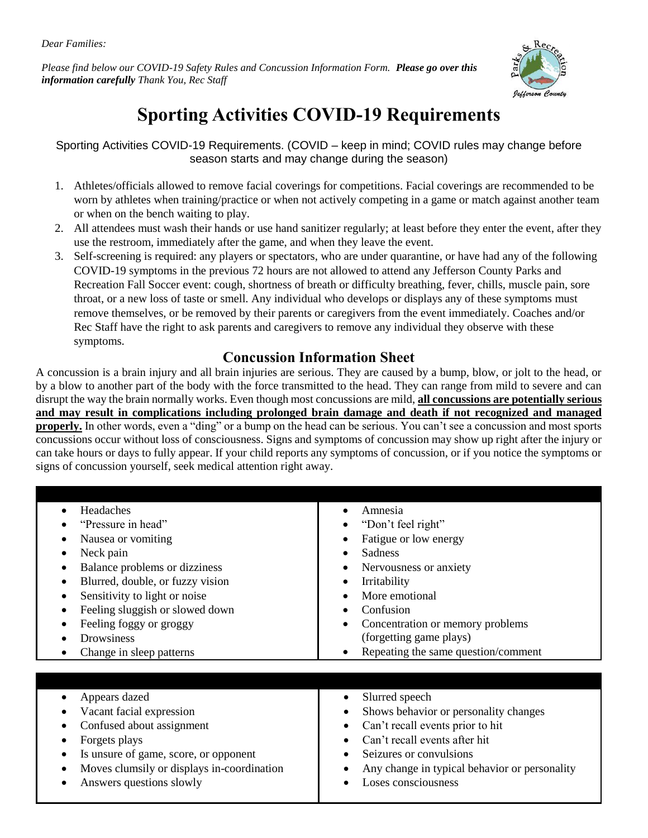*Dear Families:*

*Please find below our COVID-19 Safety Rules and Concussion Information Form. Please go over this information carefully Thank You, Rec Staff*



# **Sporting Activities COVID-19 Requirements**

Sporting Activities COVID-19 Requirements. (COVID – keep in mind; COVID rules may change before season starts and may change during the season)

- 1. Athletes/officials allowed to remove facial coverings for competitions. Facial coverings are recommended to be worn by athletes when training/practice or when not actively competing in a game or match against another team or when on the bench waiting to play.
- 2. All attendees must wash their hands or use hand sanitizer regularly; at least before they enter the event, after they use the restroom, immediately after the game, and when they leave the event.
- 3. Self-screening is required: any players or spectators, who are under quarantine, or have had any of the following COVID-19 symptoms in the previous 72 hours are not allowed to attend any Jefferson County Parks and Recreation Fall Soccer event: cough, shortness of breath or difficulty breathing, fever, chills, muscle pain, sore throat, or a new loss of taste or smell. Any individual who develops or displays any of these symptoms must remove themselves, or be removed by their parents or caregivers from the event immediately. Coaches and/or Rec Staff have the right to ask parents and caregivers to remove any individual they observe with these symptoms.

## **Concussion Information Sheet**

A concussion is a brain injury and all brain injuries are serious. They are caused by a bump, blow, or jolt to the head, or by a blow to another part of the body with the force transmitted to the head. They can range from mild to severe and can disrupt the way the brain normally works. Even though most concussions are mild, **all concussions are potentially serious and may result in complications including prolonged brain damage and death if not recognized and managed properly.** In other words, even a "ding" or a bump on the head can be serious. You can't see a concussion and most sports concussions occur without loss of consciousness. Signs and symptoms of concussion may show up right after the injury or can take hours or days to fully appear. If your child reports any symptoms of concussion, or if you notice the symptoms or signs of concussion yourself, seek medical attention right away.

| Headaches<br>"Pressure in head"<br>Nausea or vomiting<br>Neck pain<br>Balance problems or dizziness<br>Blurred, double, or fuzzy vision<br>Sensitivity to light or noise                                   | Amnesia<br>$\bullet$<br>"Don't feel right"<br>Fatigue or low energy<br>Sadness<br>Nervousness or anxiety<br>Irritability<br>$\bullet$<br>More emotional                                                                                      |
|------------------------------------------------------------------------------------------------------------------------------------------------------------------------------------------------------------|----------------------------------------------------------------------------------------------------------------------------------------------------------------------------------------------------------------------------------------------|
| Feeling sluggish or slowed down<br>Feeling foggy or groggy<br>Drowsiness<br>Change in sleep patterns<br>$\bullet$                                                                                          | Confusion<br>Concentration or memory problems<br>(forgetting game plays)<br>Repeating the same question/comment                                                                                                                              |
| Appears dazed<br>Vacant facial expression<br>Confused about assignment<br>Forgets plays<br>Is unsure of game, score, or opponent<br>Moves clumsily or displays in-coordination<br>Answers questions slowly | Slurred speech<br>$\bullet$<br>Shows behavior or personality changes<br>Can't recall events prior to hit<br>Can't recall events after hit<br>Seizures or convulsions<br>Any change in typical behavior or personality<br>Loses consciousness |